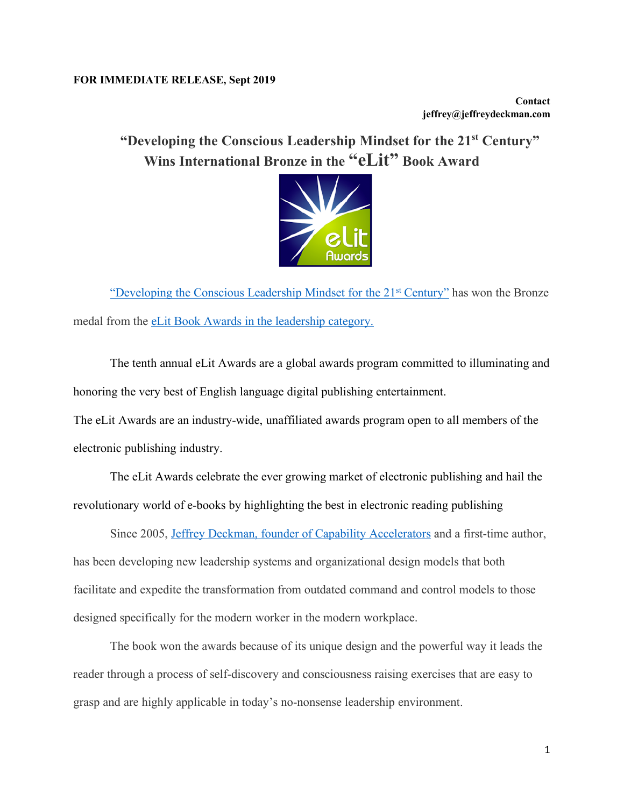## **FOR IMMEDIATE RELEASE, Sept 2019**

**Contact jeffrey@jeffreydeckman.com**

**"Developing the Conscious Leadership Mindset for the 21st Century" Wins International Bronze in the "eLit" Book Award**



"Developing the Conscious Leadership Mindset for the 21st Century" has won the Bronze medal from the eLit Book Awards in the leadership category.

The tenth annual eLit Awards are a global awards program committed to illuminating and honoring the very best of English language digital publishing entertainment.

The eLit Awards are an industry-wide, unaffiliated awards program open to all members of the electronic publishing industry.

The eLit Awards celebrate the ever growing market of electronic publishing and hail the revolutionary world of e-books by highlighting the best in electronic reading publishing

Since 2005, Jeffrey Deckman, founder of Capability Accelerators and a first-time author, has been developing new leadership systems and organizational design models that both facilitate and expedite the transformation from outdated command and control models to those designed specifically for the modern worker in the modern workplace.

The book won the awards because of its unique design and the powerful way it leads the reader through a process of self-discovery and consciousness raising exercises that are easy to grasp and are highly applicable in today's no-nonsense leadership environment.